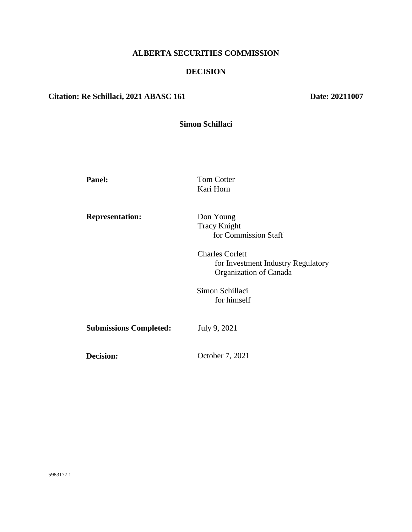# **ALBERTA SECURITIES COMMISSION**

#### **DECISION**

# **Citation: Re Schillaci, 2021 ABASC 161 Date: 20211007**

| Simon Schillaci |  |
|-----------------|--|
|                 |  |

| <b>Panel:</b>                 | <b>Tom Cotter</b>                  |
|-------------------------------|------------------------------------|
|                               | Kari Horn                          |
|                               |                                    |
| <b>Representation:</b>        | Don Young                          |
|                               | <b>Tracy Knight</b>                |
|                               | for Commission Staff               |
|                               | <b>Charles Corlett</b>             |
|                               | for Investment Industry Regulatory |
|                               | Organization of Canada             |
|                               | Simon Schillaci                    |
|                               | for himself                        |
|                               |                                    |
| <b>Submissions Completed:</b> | July 9, 2021                       |
|                               |                                    |
| Decision:                     | October 7, 2021                    |
|                               |                                    |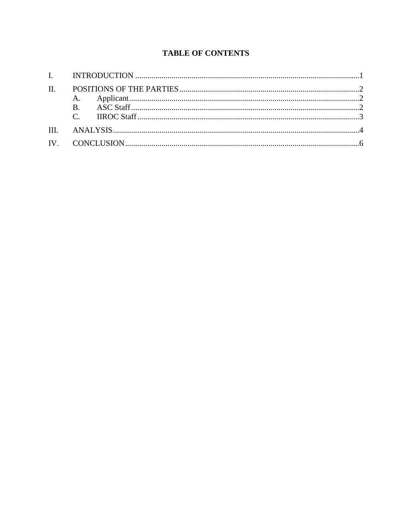# **TABLE OF CONTENTS**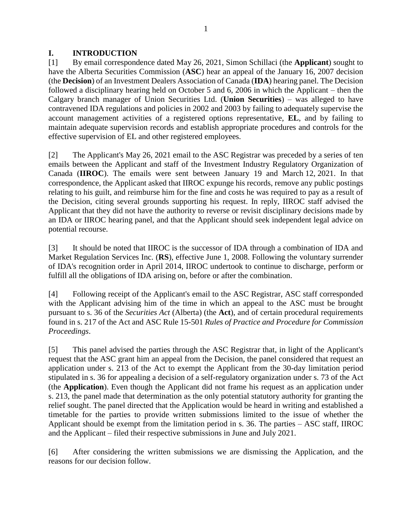#### <span id="page-2-0"></span>**I. INTRODUCTION**

[1] By email correspondence dated May 26, 2021, Simon Schillaci (the **Applicant**) sought to have the Alberta Securities Commission (**ASC**) hear an appeal of the January 16, 2007 decision (the **Decision**) of an Investment Dealers Association of Canada (**IDA**) hearing panel. The Decision followed a disciplinary hearing held on October 5 and 6, 2006 in which the Applicant – then the Calgary branch manager of Union Securities Ltd. (**Union Securities**) – was alleged to have contravened IDA regulations and policies in 2002 and 2003 by failing to adequately supervise the account management activities of a registered options representative, **EL**, and by failing to maintain adequate supervision records and establish appropriate procedures and controls for the effective supervision of EL and other registered employees.

[2] The Applicant's May 26, 2021 email to the ASC Registrar was preceded by a series of ten emails between the Applicant and staff of the Investment Industry Regulatory Organization of Canada (**IIROC**). The emails were sent between January 19 and March 12, 2021. In that correspondence, the Applicant asked that IIROC expunge his records, remove any public postings relating to his guilt, and reimburse him for the fine and costs he was required to pay as a result of the Decision, citing several grounds supporting his request. In reply, IIROC staff advised the Applicant that they did not have the authority to reverse or revisit disciplinary decisions made by an IDA or IIROC hearing panel, and that the Applicant should seek independent legal advice on potential recourse.

[3] It should be noted that IIROC is the successor of IDA through a combination of IDA and Market Regulation Services Inc. (**RS**), effective June 1, 2008. Following the voluntary surrender of IDA's recognition order in April 2014, IIROC undertook to continue to discharge, perform or fulfill all the obligations of IDA arising on, before or after the combination.

[4] Following receipt of the Applicant's email to the ASC Registrar, ASC staff corresponded with the Applicant advising him of the time in which an appeal to the ASC must be brought pursuant to s. 36 of the *Securities Act* (Alberta) (the **Act**), and of certain procedural requirements found in s. 217 of the Act and ASC Rule 15-501 *Rules of Practice and Procedure for Commission Proceedings*.

[5] This panel advised the parties through the ASC Registrar that, in light of the Applicant's request that the ASC grant him an appeal from the Decision, the panel considered that request an application under s. 213 of the Act to exempt the Applicant from the 30-day limitation period stipulated in s. 36 for appealing a decision of a self-regulatory organization under s. 73 of the Act (the **Application**). Even though the Applicant did not frame his request as an application under s. 213, the panel made that determination as the only potential statutory authority for granting the relief sought. The panel directed that the Application would be heard in writing and established a timetable for the parties to provide written submissions limited to the issue of whether the Applicant should be exempt from the limitation period in s. 36. The parties – ASC staff, IIROC and the Applicant – filed their respective submissions in June and July 2021.

[6] After considering the written submissions we are dismissing the Application, and the reasons for our decision follow.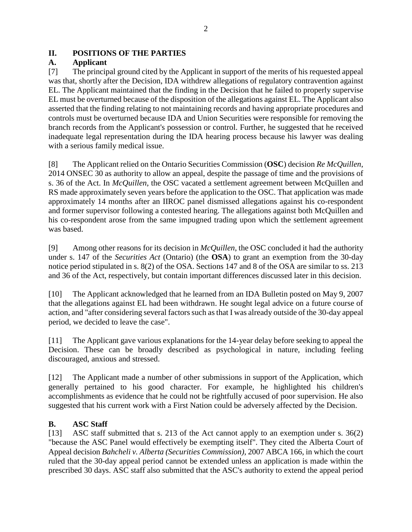#### <span id="page-3-0"></span>**II. POSITIONS OF THE PARTIES**

### <span id="page-3-1"></span>**A. Applicant**

[7] The principal ground cited by the Applicant in support of the merits of his requested appeal was that, shortly after the Decision, IDA withdrew allegations of regulatory contravention against EL. The Applicant maintained that the finding in the Decision that he failed to properly supervise EL must be overturned because of the disposition of the allegations against EL. The Applicant also asserted that the finding relating to not maintaining records and having appropriate procedures and controls must be overturned because IDA and Union Securities were responsible for removing the branch records from the Applicant's possession or control. Further, he suggested that he received inadequate legal representation during the IDA hearing process because his lawyer was dealing with a serious family medical issue.

[8] The Applicant relied on the Ontario Securities Commission (**OSC**) decision *Re McQuillen*, 2014 ONSEC 30 as authority to allow an appeal, despite the passage of time and the provisions of s. 36 of the Act. In *McQuillen*, the OSC vacated a settlement agreement between McQuillen and RS made approximately seven years before the application to the OSC. That application was made approximately 14 months after an IIROC panel dismissed allegations against his co-respondent and former supervisor following a contested hearing. The allegations against both McQuillen and his co-respondent arose from the same impugned trading upon which the settlement agreement was based.

[9] Among other reasons for its decision in *McQuillen*, the OSC concluded it had the authority under s. 147 of the *Securities Act* (Ontario) (the **OSA**) to grant an exemption from the 30-day notice period stipulated in s. 8(2) of the OSA. Sections 147 and 8 of the OSA are similar to ss. 213 and 36 of the Act, respectively, but contain important differences discussed later in this decision.

[10] The Applicant acknowledged that he learned from an IDA Bulletin posted on May 9, 2007 that the allegations against EL had been withdrawn. He sought legal advice on a future course of action, and "after considering several factors such as that I was already outside of the 30-day appeal period, we decided to leave the case".

[11] The Applicant gave various explanations for the 14-year delay before seeking to appeal the Decision. These can be broadly described as psychological in nature, including feeling discouraged, anxious and stressed.

[12] The Applicant made a number of other submissions in support of the Application, which generally pertained to his good character. For example, he highlighted his children's accomplishments as evidence that he could not be rightfully accused of poor supervision. He also suggested that his current work with a First Nation could be adversely affected by the Decision.

### <span id="page-3-2"></span>**B. ASC Staff**

[13] ASC staff submitted that s. 213 of the Act cannot apply to an exemption under s. 36(2) "because the ASC Panel would effectively be exempting itself". They cited the Alberta Court of Appeal decision *Bahcheli v. Alberta (Securities Commission)*, 2007 ABCA 166, in which the court ruled that the 30-day appeal period cannot be extended unless an application is made within the prescribed 30 days. ASC staff also submitted that the ASC's authority to extend the appeal period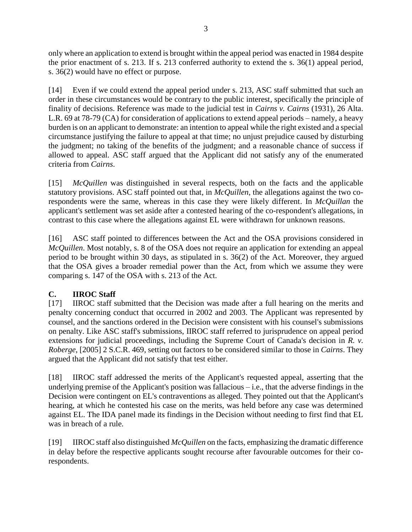only where an application to extend is brought within the appeal period was enacted in 1984 despite the prior enactment of s. 213. If s. 213 conferred authority to extend the s. 36(1) appeal period, s. 36(2) would have no effect or purpose.

[14] Even if we could extend the appeal period under s. 213, ASC staff submitted that such an order in these circumstances would be contrary to the public interest, specifically the principle of finality of decisions. Reference was made to the judicial test in *Cairns v. Cairns* (1931), 26 Alta. L.R. 69 at 78-79 (CA) for consideration of applications to extend appeal periods – namely, a heavy burden is on an applicant to demonstrate: an intention to appeal while the right existed and a special circumstance justifying the failure to appeal at that time; no unjust prejudice caused by disturbing the judgment; no taking of the benefits of the judgment; and a reasonable chance of success if allowed to appeal. ASC staff argued that the Applicant did not satisfy any of the enumerated criteria from *Cairns*.

[15] *McQuillen* was distinguished in several respects, both on the facts and the applicable statutory provisions. ASC staff pointed out that, in *McQuillen*, the allegations against the two corespondents were the same, whereas in this case they were likely different. In *McQuillan* the applicant's settlement was set aside after a contested hearing of the co-respondent's allegations, in contrast to this case where the allegations against EL were withdrawn for unknown reasons.

[16] ASC staff pointed to differences between the Act and the OSA provisions considered in *McQuillen*. Most notably, s. 8 of the OSA does not require an application for extending an appeal period to be brought within 30 days, as stipulated in s. 36(2) of the Act. Moreover, they argued that the OSA gives a broader remedial power than the Act, from which we assume they were comparing s. 147 of the OSA with s. 213 of the Act.

### <span id="page-4-0"></span>**C. IIROC Staff**

[17] IIROC staff submitted that the Decision was made after a full hearing on the merits and penalty concerning conduct that occurred in 2002 and 2003. The Applicant was represented by counsel, and the sanctions ordered in the Decision were consistent with his counsel's submissions on penalty. Like ASC staff's submissions, IIROC staff referred to jurisprudence on appeal period extensions for judicial proceedings, including the Supreme Court of Canada's decision in *R. v. Roberge*, [2005] 2 S.C.R. 469, setting out factors to be considered similar to those in *Cairns*. They argued that the Applicant did not satisfy that test either.

[18] IIROC staff addressed the merits of the Applicant's requested appeal, asserting that the underlying premise of the Applicant's position was fallacious – i.e., that the adverse findings in the Decision were contingent on EL's contraventions as alleged. They pointed out that the Applicant's hearing, at which he contested his case on the merits, was held before any case was determined against EL. The IDA panel made its findings in the Decision without needing to first find that EL was in breach of a rule.

[19] IIROC staff also distinguished *McQuillen* on the facts, emphasizing the dramatic difference in delay before the respective applicants sought recourse after favourable outcomes for their corespondents.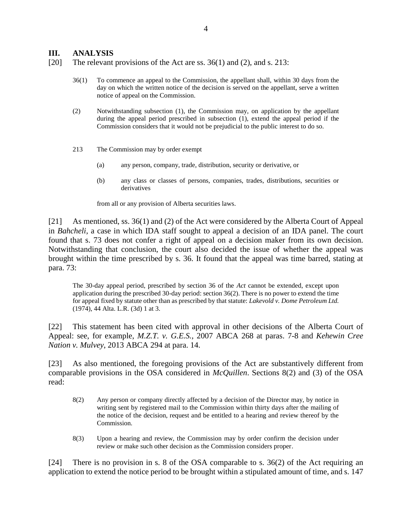#### <span id="page-5-0"></span>**III. ANALYSIS**

[20] The relevant provisions of the Act are ss. 36(1) and (2), and s. 213:

- 36(1) To commence an appeal to the Commission, the appellant shall, within 30 days from the day on which the written notice of the decision is served on the appellant, serve a written notice of appeal on the Commission.
- (2) Notwithstanding subsection (1), the Commission may, on application by the appellant during the appeal period prescribed in subsection (1), extend the appeal period if the Commission considers that it would not be prejudicial to the public interest to do so.
- 213 The Commission may by order exempt
	- (a) any person, company, trade, distribution, security or derivative, or
	- (b) any class or classes of persons, companies, trades, distributions, securities or derivatives

from all or any provision of Alberta securities laws.

[21] As mentioned, ss. 36(1) and (2) of the Act were considered by the Alberta Court of Appeal in *Bahcheli*, a case in which IDA staff sought to appeal a decision of an IDA panel. The court found that s. 73 does not confer a right of appeal on a decision maker from its own decision. Notwithstanding that conclusion, the court also decided the issue of whether the appeal was brought within the time prescribed by s. 36. It found that the appeal was time barred, stating at para. 73:

The 30-day appeal period, prescribed by section 36 of the *Act* cannot be extended, except upon application during the prescribed 30-day period: section 36(2). There is no power to extend the time for appeal fixed by statute other than as prescribed by that statute: *Lakevold v. Dome Petroleum Ltd.* (1974), 44 Alta. L.R. (3d) 1 at 3.

[22] This statement has been cited with approval in other decisions of the Alberta Court of Appeal: see, for example, *M.Z.T. v. G.E.S.*, 2007 ABCA 268 at paras. 7-8 and *Kehewin Cree Nation v. Mulvey*, 2013 ABCA 294 at para. 14.

[23] As also mentioned, the foregoing provisions of the Act are substantively different from comparable provisions in the OSA considered in *McQuillen*. Sections 8(2) and (3) of the OSA read:

- 8(2) Any person or company directly affected by a decision of the Director may, by notice in writing sent by registered mail to the Commission within thirty days after the mailing of the notice of the decision, request and be entitled to a hearing and review thereof by the Commission.
- 8(3) Upon a hearing and review, the Commission may by order confirm the decision under review or make such other decision as the Commission considers proper.

[24] There is no provision in s. 8 of the OSA comparable to s. 36(2) of the Act requiring an application to extend the notice period to be brought within a stipulated amount of time, and s. 147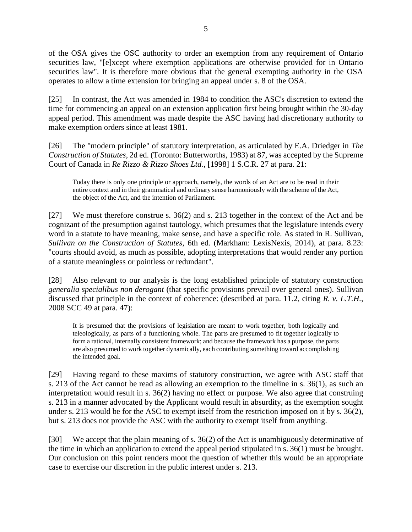of the OSA gives the OSC authority to order an exemption from any requirement of Ontario securities law, "[e]xcept where exemption applications are otherwise provided for in Ontario securities law". It is therefore more obvious that the general exempting authority in the OSA operates to allow a time extension for bringing an appeal under s. 8 of the OSA.

[25] In contrast, the Act was amended in 1984 to condition the ASC's discretion to extend the time for commencing an appeal on an extension application first being brought within the 30-day appeal period. This amendment was made despite the ASC having had discretionary authority to make exemption orders since at least 1981.

[26] The "modern principle" of statutory interpretation, as articulated by E.A. Driedger in *The Construction of Statutes*, 2d ed. (Toronto: Butterworths, 1983) at 87, was accepted by the Supreme Court of Canada in *Re Rizzo & Rizzo Shoes Ltd.*, [1998] 1 S.C.R. 27 at para. 21:

Today there is only one principle or approach, namely, the words of an Act are to be read in their entire context and in their grammatical and ordinary sense harmoniously with the scheme of the Act, the object of the Act, and the intention of Parliament.

[27] We must therefore construe s. 36(2) and s. 213 together in the context of the Act and be cognizant of the presumption against tautology, which presumes that the legislature intends every word in a statute to have meaning, make sense, and have a specific role. As stated in R. Sullivan, *Sullivan on the Construction of Statutes*, 6th ed. (Markham: LexisNexis, 2014), at para. 8.23: "courts should avoid, as much as possible, adopting interpretations that would render any portion of a statute meaningless or pointless or redundant".

[28] Also relevant to our analysis is the long established principle of statutory construction *generalia specialibus non derogant* (that specific provisions prevail over general ones). Sullivan discussed that principle in the context of coherence: (described at para. 11.2, citing *R. v. L.T.H.*, 2008 SCC 49 at para. 47):

It is presumed that the provisions of legislation are meant to work together, both logically and teleologically, as parts of a functioning whole. The parts are presumed to fit together logically to form a rational, internally consistent framework; and because the framework has a purpose, the parts are also presumed to work together dynamically, each contributing something toward accomplishing the intended goal.

[29] Having regard to these maxims of statutory construction, we agree with ASC staff that s. 213 of the Act cannot be read as allowing an exemption to the timeline in s. 36(1), as such an interpretation would result in s. 36(2) having no effect or purpose. We also agree that construing s. 213 in a manner advocated by the Applicant would result in absurdity, as the exemption sought under s. 213 would be for the ASC to exempt itself from the restriction imposed on it by s. 36(2), but s. 213 does not provide the ASC with the authority to exempt itself from anything.

[30] We accept that the plain meaning of s. 36(2) of the Act is unambiguously determinative of the time in which an application to extend the appeal period stipulated in s. 36(1) must be brought. Our conclusion on this point renders moot the question of whether this would be an appropriate case to exercise our discretion in the public interest under s. 213.